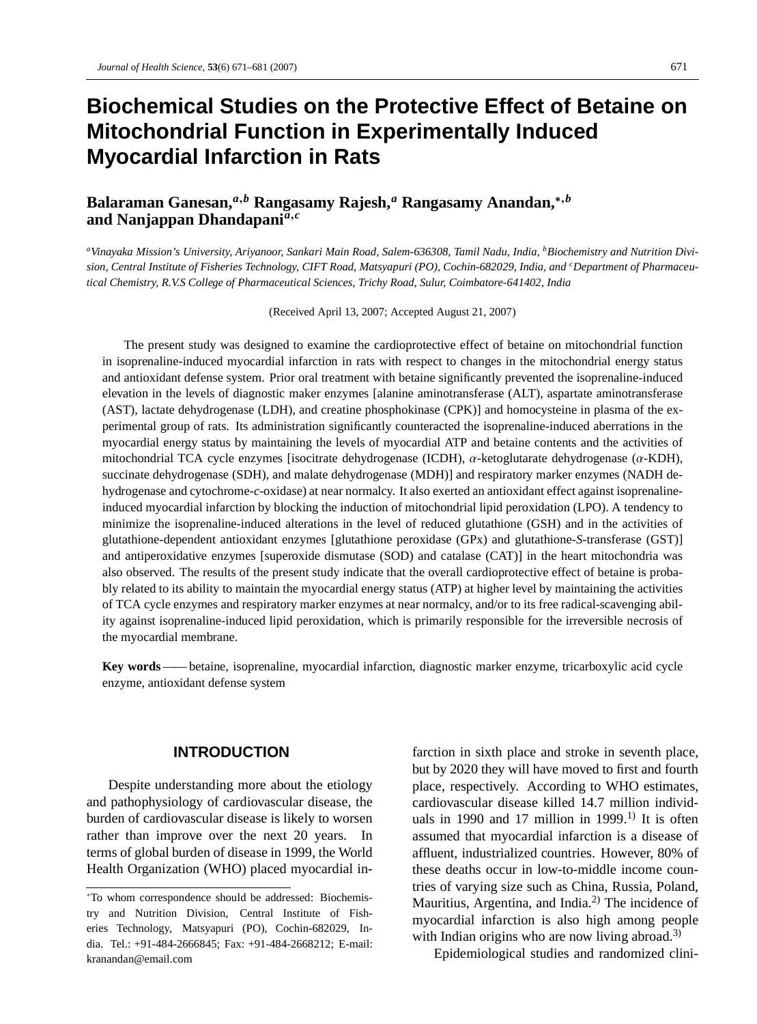# **Biochemical Studies on the Protective Effect of Betaine on Mitochondrial Function in Experimentally Induced Myocardial Infarction in Rats**

## **Balaraman Ganesan,***<sup>a</sup>*,*<sup>b</sup>* **Rangasamy Rajesh,***<sup>a</sup>* **Rangasamy Anandan,**∗,*<sup>b</sup>* **and Nanjappan Dhandapani***<sup>a</sup>*,*<sup>c</sup>*

*aVinayaka Mission's University, Ariyanoor, Sankari Main Road, Salem-636308, Tamil Nadu, India, bBiochemistry and Nutrition Division, Central Institute of Fisheries Technology, CIFT Road, Matsyapuri (PO), Cochin-682029, India, and <sup>c</sup> Department of Pharmaceutical Chemistry, R.V.S College of Pharmaceutical Sciences, Trichy Road, Sulur, Coimbatore-641402, India*

(Received April 13, 2007; Accepted August 21, 2007)

The present study was designed to examine the cardioprotective effect of betaine on mitochondrial function in isoprenaline-induced myocardial infarction in rats with respect to changes in the mitochondrial energy status and antioxidant defense system. Prior oral treatment with betaine significantly prevented the isoprenaline-induced elevation in the levels of diagnostic maker enzymes [alanine aminotransferase (ALT), aspartate aminotransferase (AST), lactate dehydrogenase (LDH), and creatine phosphokinase (CPK)] and homocysteine in plasma of the experimental group of rats. Its administration significantly counteracted the isoprenaline-induced aberrations in the myocardial energy status by maintaining the levels of myocardial ATP and betaine contents and the activities of mitochondrial TCA cycle enzymes [isocitrate dehydrogenase (ICDH), α-ketoglutarate dehydrogenase (α-KDH), succinate dehydrogenase (SDH), and malate dehydrogenase (MDH)] and respiratory marker enzymes (NADH dehydrogenase and cytochrome-*c*-oxidase) at near normalcy. It also exerted an antioxidant effect against isoprenalineinduced myocardial infarction by blocking the induction of mitochondrial lipid peroxidation (LPO). A tendency to minimize the isoprenaline-induced alterations in the level of reduced glutathione (GSH) and in the activities of glutathione-dependent antioxidant enzymes [glutathione peroxidase (GPx) and glutathione-*S*-transferase (GST)] and antiperoxidative enzymes [superoxide dismutase (SOD) and catalase (CAT)] in the heart mitochondria was also observed. The results of the present study indicate that the overall cardioprotective effect of betaine is probably related to its ability to maintain the myocardial energy status (ATP) at higher level by maintaining the activities of TCA cycle enzymes and respiratory marker enzymes at near normalcy, and/or to its free radical-scavenging ability against isoprenaline-induced lipid peroxidation, which is primarily responsible for the irreversible necrosis of the myocardial membrane.

**Key words**—— betaine, isoprenaline, myocardial infarction, diagnostic marker enzyme, tricarboxylic acid cycle enzyme, antioxidant defense system

#### **INTRODUCTION**

Despite understanding more about the etiology and pathophysiology of cardiovascular disease, the burden of cardiovascular disease is likely to worsen rather than improve over the next 20 years. In terms of global burden of disease in 1999, the World Health Organization (WHO) placed myocardial infarction in sixth place and stroke in seventh place, but by 2020 they will have moved to first and fourth place, respectively. According to WHO estimates, cardiovascular disease killed 14.7 million individuals in 1990 and 17 million in 1999.<sup>1)</sup> It is often assumed that myocardial infarction is a disease of affluent, industrialized countries. However, 80% of these deaths occur in low-to-middle income countries of varying size such as China, Russia, Poland, Mauritius, Argentina, and India. $^{2)}$  The incidence of myocardial infarction is also high among people with Indian origins who are now living abroad.<sup>3)</sup>

Epidemiological studies and randomized clini-

<sup>∗</sup>To whom correspondence should be addressed: Biochemistry and Nutrition Division, Central Institute of Fisheries Technology, Matsyapuri (PO), Cochin-682029, India. Tel.: +91-484-2666845; Fax: +91-484-2668212; E-mail: kranandan@email.com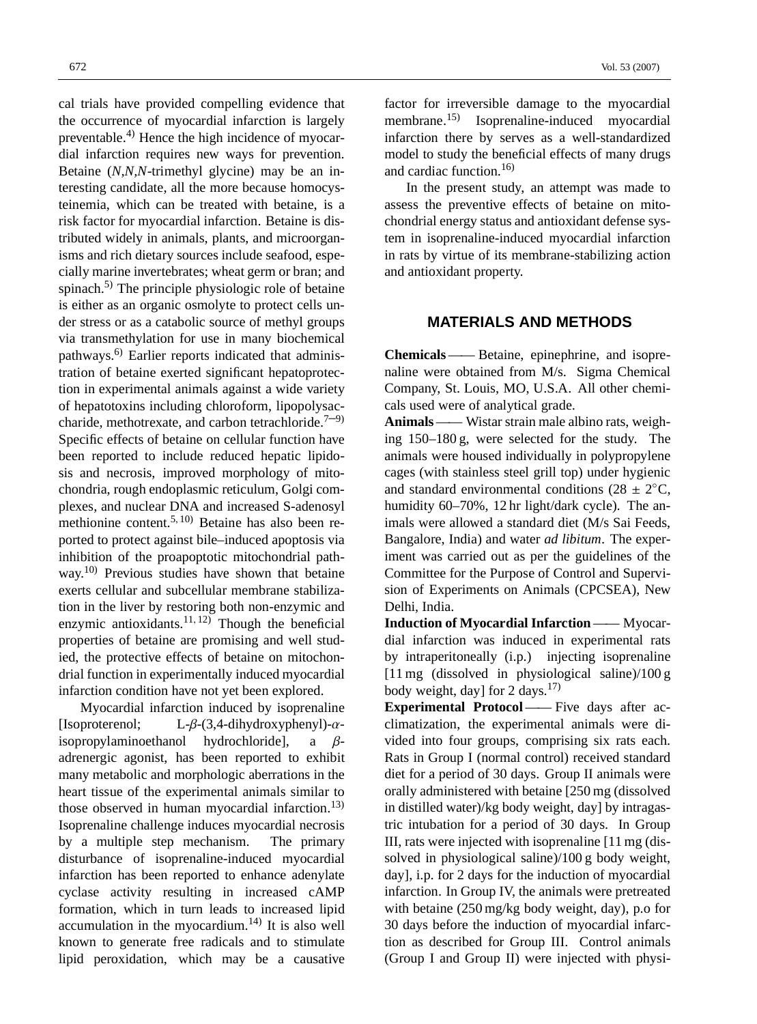cal trials have provided compelling evidence that the occurrence of myocardial infarction is largely preventable. $^{4)}$  Hence the high incidence of myocardial infarction requires new ways for prevention. Betaine (*N,N,N*-trimethyl glycine) may be an interesting candidate, all the more because homocysteinemia, which can be treated with betaine, is a risk factor for myocardial infarction. Betaine is distributed widely in animals, plants, and microorganisms and rich dietary sources include seafood, especially marine invertebrates; wheat germ or bran; and spinach. $5$ ) The principle physiologic role of betaine is either as an organic osmolyte to protect cells under stress or as a catabolic source of methyl groups via transmethylation for use in many biochemical pathways.<sup>6)</sup> Earlier reports indicated that administration of betaine exerted significant hepatoprotection in experimental animals against a wide variety of hepatotoxins including chloroform, lipopolysaccharide, methotrexate, and carbon tetrachloride.<sup>7-9)</sup> Specific effects of betaine on cellular function have been reported to include reduced hepatic lipidosis and necrosis, improved morphology of mitochondria, rough endoplasmic reticulum, Golgi complexes, and nuclear DNA and increased S-adenosyl methionine content.5, 10) Betaine has also been reported to protect against bile–induced apoptosis via inhibition of the proapoptotic mitochondrial pathway.<sup>10)</sup> Previous studies have shown that betaine exerts cellular and subcellular membrane stabilization in the liver by restoring both non-enzymic and enzymic antioxidants.<sup>11, 12)</sup> Though the beneficial properties of betaine are promising and well studied, the protective effects of betaine on mitochondrial function in experimentally induced myocardial infarction condition have not yet been explored.

Myocardial infarction induced by isoprenaline [Isoproterenol; L- $\beta$ -(3,4-dihydroxyphenyl)- $\alpha$ isopropylaminoethanol hydrochloride], a βadrenergic agonist, has been reported to exhibit many metabolic and morphologic aberrations in the heart tissue of the experimental animals similar to those observed in human myocardial infarction.<sup>13)</sup> Isoprenaline challenge induces myocardial necrosis by a multiple step mechanism. The primary disturbance of isoprenaline-induced myocardial infarction has been reported to enhance adenylate cyclase activity resulting in increased cAMP formation, which in turn leads to increased lipid accumulation in the myocardium. $^{14)}$  It is also well known to generate free radicals and to stimulate lipid peroxidation, which may be a causative factor for irreversible damage to the myocardial membrane.15) Isoprenaline-induced myocardial infarction there by serves as a well-standardized model to study the beneficial effects of many drugs and cardiac function. $16$ 

In the present study, an attempt was made to assess the preventive effects of betaine on mitochondrial energy status and antioxidant defense system in isoprenaline-induced myocardial infarction in rats by virtue of its membrane-stabilizing action and antioxidant property.

#### **MATERIALS AND METHODS**

**Chemicals** —— Betaine, epinephrine, and isoprenaline were obtained from M/s. Sigma Chemical Company, St. Louis, MO, U.S.A. All other chemicals used were of analytical grade.

**Animals**—— Wistar strain male albino rats, weighing 150–180 g, were selected for the study. The animals were housed individually in polypropylene cages (with stainless steel grill top) under hygienic and standard environmental conditions (28  $\pm$  2<sup>°</sup>C, humidity 60–70%, 12 hr light/dark cycle). The animals were allowed a standard diet (M/s Sai Feeds, Bangalore, India) and water *ad libitum*. The experiment was carried out as per the guidelines of the Committee for the Purpose of Control and Supervision of Experiments on Animals (CPCSEA), New Delhi, India.

**Induction of Myocardial Infarction** —— Myocardial infarction was induced in experimental rats by intraperitoneally (i.p.) injecting isoprenaline [11 mg (dissolved in physiological saline)/100 g body weight, day] for 2 days. $17$ 

**Experimental Protocol**—— Five days after acclimatization, the experimental animals were divided into four groups, comprising six rats each. Rats in Group I (normal control) received standard diet for a period of 30 days. Group II animals were orally administered with betaine [250 mg (dissolved in distilled water)/kg body weight, day] by intragastric intubation for a period of 30 days. In Group III, rats were injected with isoprenaline [11 mg (dissolved in physiological saline)/100 g body weight, day], i.p. for 2 days for the induction of myocardial infarction. In Group IV, the animals were pretreated with betaine (250 mg/kg body weight, day), p.o for 30 days before the induction of myocardial infarction as described for Group III. Control animals (Group I and Group II) were injected with physi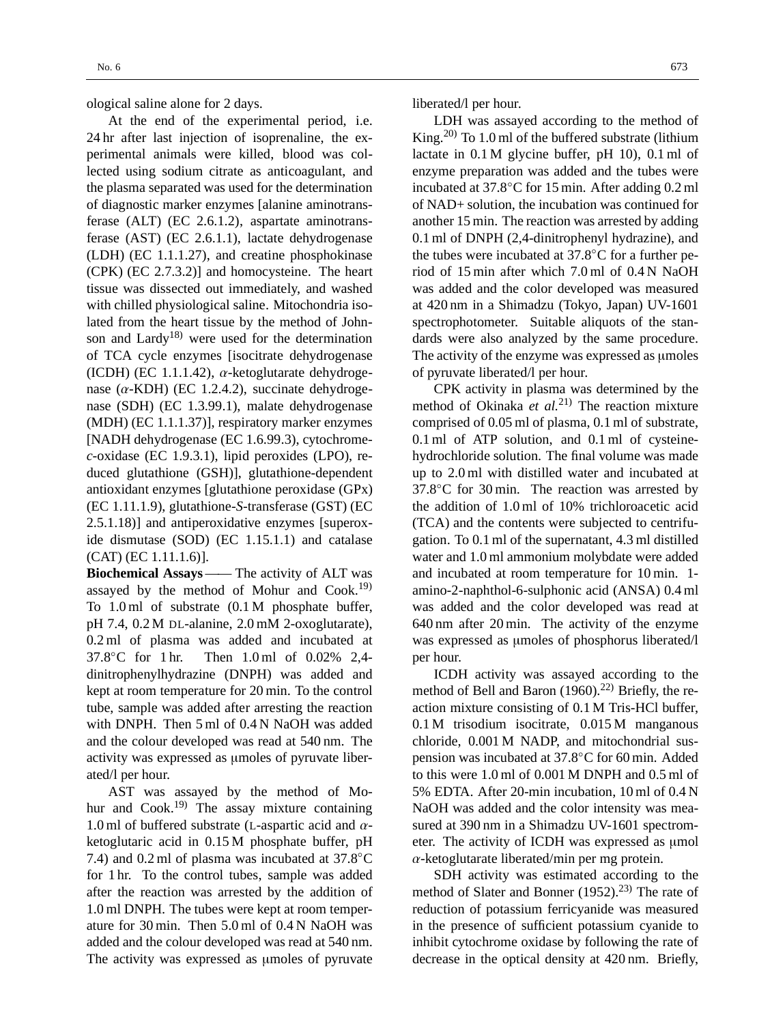ological saline alone for 2 days.

At the end of the experimental period, i.e. 24 hr after last injection of isoprenaline, the experimental animals were killed, blood was collected using sodium citrate as anticoagulant, and the plasma separated was used for the determination of diagnostic marker enzymes [alanine aminotransferase (ALT) (EC 2.6.1.2), aspartate aminotransferase (AST) (EC 2.6.1.1), lactate dehydrogenase (LDH) (EC 1.1.1.27), and creatine phosphokinase (CPK) (EC 2.7.3.2)] and homocysteine. The heart tissue was dissected out immediately, and washed with chilled physiological saline. Mitochondria isolated from the heart tissue by the method of Johnson and Lardy<sup>18)</sup> were used for the determination of TCA cycle enzymes [isocitrate dehydrogenase (ICDH) (EC 1.1.1.42),  $\alpha$ -ketoglutarate dehydrogenase  $(\alpha$ -KDH) (EC 1.2.4.2), succinate dehydrogenase (SDH) (EC 1.3.99.1), malate dehydrogenase (MDH) (EC 1.1.1.37)], respiratory marker enzymes [NADH dehydrogenase (EC 1.6.99.3), cytochrome*c*-oxidase (EC 1.9.3.1), lipid peroxides (LPO), reduced glutathione (GSH)], glutathione-dependent antioxidant enzymes [glutathione peroxidase (GPx) (EC 1.11.1.9), glutathione-*S*-transferase (GST) (EC 2.5.1.18)] and antiperoxidative enzymes [superoxide dismutase (SOD) (EC 1.15.1.1) and catalase (CAT) (EC 1.11.1.6)].

**Biochemical Assays** —— The activity of ALT was assayed by the method of Mohur and  $Cook<sup>19</sup>$ To 1.0 ml of substrate (0.1 M phosphate buffer, pH 7.4, 0.2 M DL-alanine, 2.0 mM 2-oxoglutarate), 0.2 ml of plasma was added and incubated at 37.8◦C for 1 hr. Then 1.0 ml of 0.02% 2,4 dinitrophenylhydrazine (DNPH) was added and kept at room temperature for 20 min. To the control tube, sample was added after arresting the reaction with DNPH. Then 5 ml of 0.4 N NaOH was added and the colour developed was read at 540 nm. The activity was expressed as µmoles of pyruvate liberated/l per hour.

AST was assayed by the method of Mohur and  $Cook<sup>19</sup>$  The assay mixture containing 1.0 ml of buffered substrate (L-aspartic acid and  $\alpha$ ketoglutaric acid in 0.15 M phosphate buffer, pH 7.4) and 0.2 ml of plasma was incubated at  $37.8^{\circ}$ C for 1 hr. To the control tubes, sample was added after the reaction was arrested by the addition of 1.0 ml DNPH. The tubes were kept at room temperature for 30 min. Then 5.0 ml of 0.4 N NaOH was added and the colour developed was read at 540 nm. The activity was expressed as umoles of pyruvate liberated/l per hour.

LDH was assayed according to the method of King.<sup>20)</sup> To 1.0 ml of the buffered substrate (lithium lactate in 0.1 M glycine buffer, pH 10), 0.1 ml of enzyme preparation was added and the tubes were incubated at 37.8◦C for 15 min. After adding 0.2 ml of NAD+ solution, the incubation was continued for another 15 min. The reaction was arrested by adding 0.1 ml of DNPH (2,4-dinitrophenyl hydrazine), and the tubes were incubated at 37.8◦C for a further period of 15 min after which 7.0 ml of 0.4 N NaOH was added and the color developed was measured at 420 nm in a Shimadzu (Tokyo, Japan) UV-1601 spectrophotometer. Suitable aliquots of the standards were also analyzed by the same procedure. The activity of the enzyme was expressed as umoles of pyruvate liberated/l per hour.

CPK activity in plasma was determined by the method of Okinaka *et al.*21) The reaction mixture comprised of 0.05 ml of plasma, 0.1 ml of substrate, 0.1 ml of ATP solution, and 0.1 ml of cysteinehydrochloride solution. The final volume was made up to 2.0 ml with distilled water and incubated at 37.8<sup>°</sup>C for 30 min. The reaction was arrested by the addition of 1.0 ml of 10% trichloroacetic acid (TCA) and the contents were subjected to centrifugation. To 0.1 ml of the supernatant, 4.3 ml distilled water and 1.0 ml ammonium molybdate were added and incubated at room temperature for 10 min. 1 amino-2-naphthol-6-sulphonic acid (ANSA) 0.4 ml was added and the color developed was read at 640 nm after 20 min. The activity of the enzyme was expressed as umoles of phosphorus liberated/l per hour.

ICDH activity was assayed according to the method of Bell and Baron  $(1960)$ .<sup>22)</sup> Briefly, the reaction mixture consisting of 0.1 M Tris-HCl buffer, 0.1 M trisodium isocitrate, 0.015 M manganous chloride, 0.001 M NADP, and mitochondrial suspension was incubated at 37.8◦C for 60 min. Added to this were 1.0 ml of 0.001 M DNPH and 0.5 ml of 5% EDTA. After 20-min incubation, 10 ml of 0.4 N NaOH was added and the color intensity was measured at 390 nm in a Shimadzu UV-1601 spectrometer. The activity of ICDH was expressed as µmol  $\alpha$ -ketoglutarate liberated/min per mg protein.

SDH activity was estimated according to the method of Slater and Bonner  $(1952)$ <sup>23)</sup> The rate of reduction of potassium ferricyanide was measured in the presence of sufficient potassium cyanide to inhibit cytochrome oxidase by following the rate of decrease in the optical density at 420 nm. Briefly,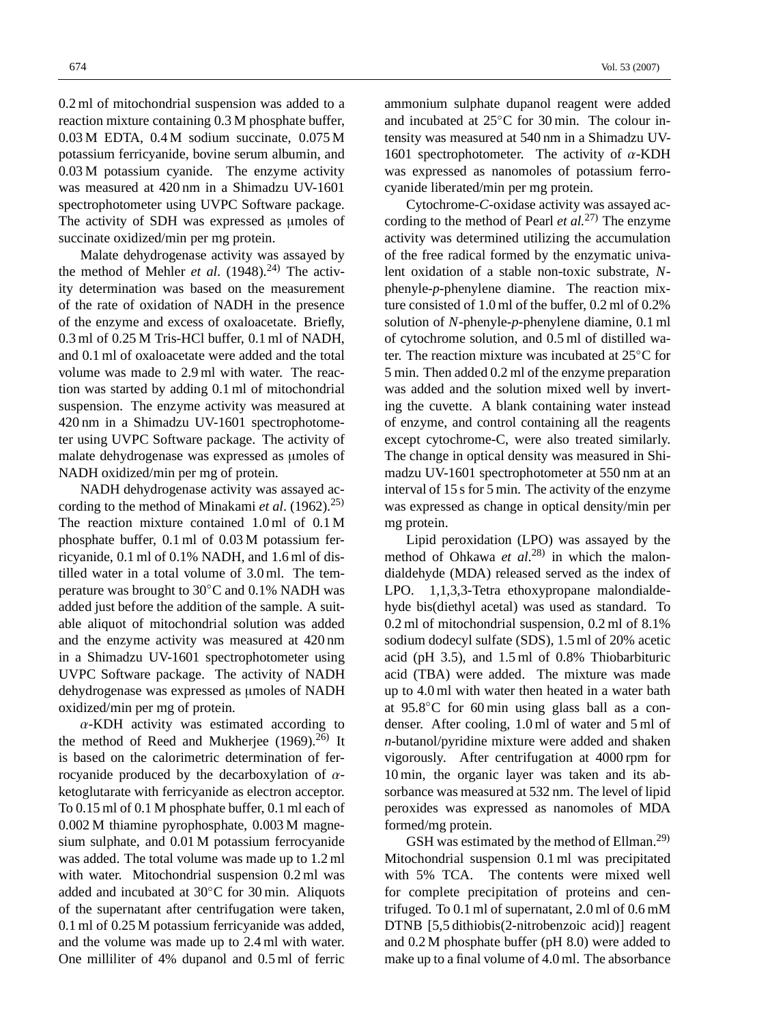0.2 ml of mitochondrial suspension was added to a reaction mixture containing 0.3 M phosphate buffer, 0.03 M EDTA, 0.4 M sodium succinate, 0.075 M potassium ferricyanide, bovine serum albumin, and 0.03 M potassium cyanide. The enzyme activity was measured at 420 nm in a Shimadzu UV-1601 spectrophotometer using UVPC Software package. The activity of SDH was expressed as umoles of succinate oxidized/min per mg protein.

Malate dehydrogenase activity was assayed by the method of Mehler *et al.*  $(1948)^{24}$  The activity determination was based on the measurement of the rate of oxidation of NADH in the presence of the enzyme and excess of oxaloacetate. Briefly, 0.3 ml of 0.25 M Tris-HCl buffer, 0.1 ml of NADH, and 0.1 ml of oxaloacetate were added and the total volume was made to 2.9 ml with water. The reaction was started by adding 0.1 ml of mitochondrial suspension. The enzyme activity was measured at 420 nm in a Shimadzu UV-1601 spectrophotometer using UVPC Software package. The activity of malate dehydrogenase was expressed as umoles of NADH oxidized/min per mg of protein.

NADH dehydrogenase activity was assayed according to the method of Minakami *et al*. (1962).25) The reaction mixture contained 1.0 ml of 0.1 M phosphate buffer, 0.1 ml of 0.03 M potassium ferricyanide, 0.1 ml of 0.1% NADH, and 1.6 ml of distilled water in a total volume of 3.0 ml. The temperature was brought to 30◦C and 0.1% NADH was added just before the addition of the sample. A suitable aliquot of mitochondrial solution was added and the enzyme activity was measured at 420 nm in a Shimadzu UV-1601 spectrophotometer using UVPC Software package. The activity of NADH dehydrogenase was expressed as µmoles of NADH oxidized/min per mg of protein.

 $\alpha$ -KDH activity was estimated according to the method of Reed and Mukherjee  $(1969).^{26}$  It is based on the calorimetric determination of ferrocyanide produced by the decarboxylation of  $\alpha$ ketoglutarate with ferricyanide as electron acceptor. To 0.15 ml of 0.1 M phosphate buffer, 0.1 ml each of 0.002 M thiamine pyrophosphate, 0.003 M magnesium sulphate, and 0.01 M potassium ferrocyanide was added. The total volume was made up to 1.2 ml with water. Mitochondrial suspension 0.2 ml was added and incubated at 30◦C for 30 min. Aliquots of the supernatant after centrifugation were taken, 0.1 ml of 0.25 M potassium ferricyanide was added, and the volume was made up to 2.4 ml with water. One milliliter of 4% dupanol and 0.5 ml of ferric ammonium sulphate dupanol reagent were added and incubated at 25◦C for 30 min. The colour intensity was measured at 540 nm in a Shimadzu UV-1601 spectrophotometer. The activity of  $\alpha$ -KDH was expressed as nanomoles of potassium ferrocyanide liberated/min per mg protein.

Cytochrome-*C*-oxidase activity was assayed according to the method of Pearl *et al.*27) The enzyme activity was determined utilizing the accumulation of the free radical formed by the enzymatic univalent oxidation of a stable non-toxic substrate, *N*phenyle-*p*-phenylene diamine. The reaction mixture consisted of 1.0 ml of the buffer, 0.2 ml of 0.2% solution of *N*-phenyle-*p*-phenylene diamine, 0.1 ml of cytochrome solution, and 0.5 ml of distilled water. The reaction mixture was incubated at 25◦C for 5 min. Then added 0.2 ml of the enzyme preparation was added and the solution mixed well by inverting the cuvette. A blank containing water instead of enzyme, and control containing all the reagents except cytochrome-C, were also treated similarly. The change in optical density was measured in Shimadzu UV-1601 spectrophotometer at 550 nm at an interval of 15 s for 5 min. The activity of the enzyme was expressed as change in optical density/min per mg protein.

Lipid peroxidation (LPO) was assayed by the method of Ohkawa *et al*. 28) in which the malondialdehyde (MDA) released served as the index of LPO. 1,1,3,3-Tetra ethoxypropane malondialdehyde bis(diethyl acetal) was used as standard. To 0.2 ml of mitochondrial suspension, 0.2 ml of 8.1% sodium dodecyl sulfate (SDS), 1.5 ml of 20% acetic acid (pH 3.5), and 1.5 ml of 0.8% Thiobarbituric acid (TBA) were added. The mixture was made up to 4.0 ml with water then heated in a water bath at 95.8◦C for 60 min using glass ball as a condenser. After cooling, 1.0 ml of water and 5 ml of *n*-butanol/pyridine mixture were added and shaken vigorously. After centrifugation at 4000 rpm for 10 min, the organic layer was taken and its absorbance was measured at 532 nm. The level of lipid peroxides was expressed as nanomoles of MDA formed/mg protein.

GSH was estimated by the method of Ellman.<sup>29)</sup> Mitochondrial suspension 0.1 ml was precipitated with 5% TCA. The contents were mixed well for complete precipitation of proteins and centrifuged. To 0.1 ml of supernatant, 2.0 ml of 0.6 mM DTNB [5,5 dithiobis(2-nitrobenzoic acid)] reagent and 0.2 M phosphate buffer (pH 8.0) were added to make up to a final volume of 4.0 ml. The absorbance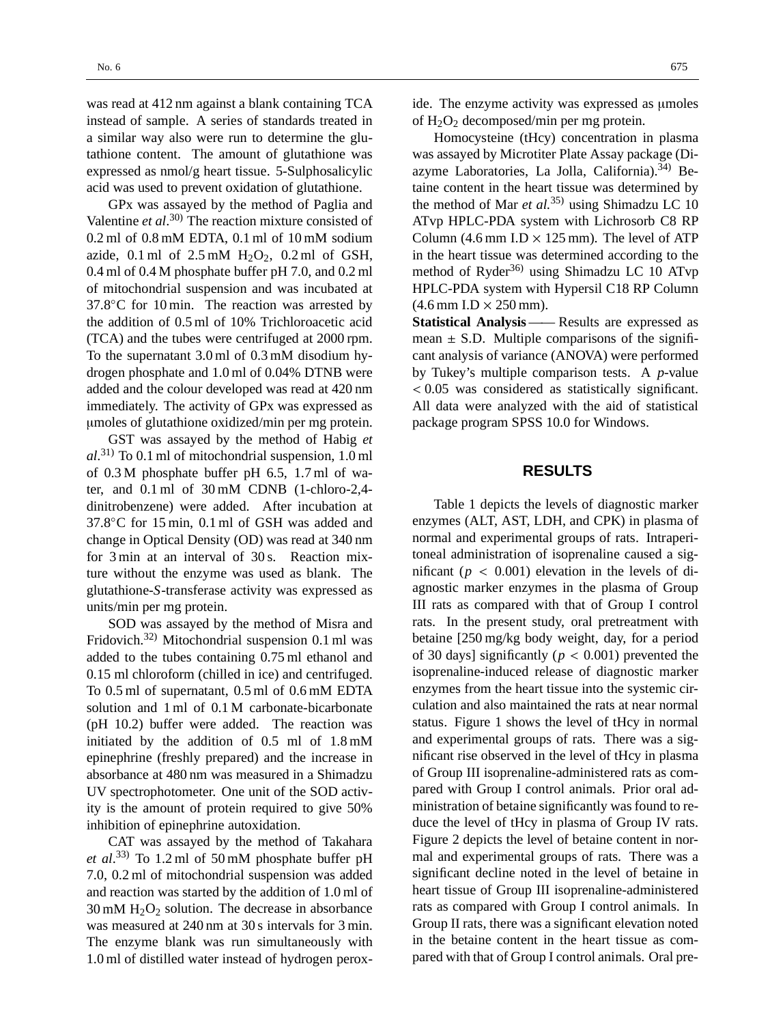was read at 412 nm against a blank containing TCA instead of sample. A series of standards treated in a similar way also were run to determine the glutathione content. The amount of glutathione was expressed as nmol/g heart tissue. 5-Sulphosalicylic acid was used to prevent oxidation of glutathione.

GPx was assayed by the method of Paglia and Valentine *et al*. 30) The reaction mixture consisted of  $0.2$  ml of  $0.8$  mM EDTA,  $0.1$  ml of  $10$  mM sodium azide,  $0.1$  ml of  $2.5$  mM  $H_2O_2$ ,  $0.2$  ml of GSH, 0.4 ml of 0.4 M phosphate buffer pH 7.0, and 0.2 ml of mitochondrial suspension and was incubated at  $37.8\degree$ C for 10 min. The reaction was arrested by the addition of 0.5 ml of 10% Trichloroacetic acid (TCA) and the tubes were centrifuged at 2000 rpm. To the supernatant 3.0 ml of 0.3 mM disodium hydrogen phosphate and 1.0 ml of 0.04% DTNB were added and the colour developed was read at 420 nm immediately. The activity of GPx was expressed as µmoles of glutathione oxidized/min per mg protein.

GST was assayed by the method of Habig *et al*. 31) To 0.1 ml of mitochondrial suspension, 1.0 ml of 0.3 M phosphate buffer pH 6.5, 1.7 ml of water, and 0.1 ml of 30 mM CDNB (1-chloro-2,4 dinitrobenzene) were added. After incubation at 37.8◦C for 15 min, 0.1 ml of GSH was added and change in Optical Density (OD) was read at 340 nm for 3 min at an interval of 30 s. Reaction mixture without the enzyme was used as blank. The glutathione-*S*-transferase activity was expressed as units/min per mg protein.

SOD was assayed by the method of Misra and Fridovich.32) Mitochondrial suspension 0.1 ml was added to the tubes containing 0.75 ml ethanol and 0.15 ml chloroform (chilled in ice) and centrifuged. To 0.5 ml of supernatant, 0.5 ml of 0.6 mM EDTA solution and 1 ml of 0.1 M carbonate-bicarbonate (pH 10.2) buffer were added. The reaction was initiated by the addition of 0.5 ml of 1.8 mM epinephrine (freshly prepared) and the increase in absorbance at 480 nm was measured in a Shimadzu UV spectrophotometer. One unit of the SOD activity is the amount of protein required to give 50% inhibition of epinephrine autoxidation.

CAT was assayed by the method of Takahara *et al*. 33) To 1.2 ml of 50 mM phosphate buffer pH 7.0, 0.2 ml of mitochondrial suspension was added and reaction was started by the addition of 1.0 ml of  $30 \text{ mM } H_2O_2$  solution. The decrease in absorbance was measured at 240 nm at 30 s intervals for 3 min. The enzyme blank was run simultaneously with 1.0 ml of distilled water instead of hydrogen peroxide. The enzyme activity was expressed as µmoles of  $H_2O_2$  decomposed/min per mg protein.

Homocysteine (tHcy) concentration in plasma was assayed by Microtiter Plate Assay package (Diazyme Laboratories, La Jolla, California). $34$  Betaine content in the heart tissue was determined by the method of Mar *et al.*35) using Shimadzu LC 10 ATvp HPLC-PDA system with Lichrosorb C8 RP Column (4.6 mm I.D  $\times$  125 mm). The level of ATP in the heart tissue was determined according to the method of Ryder<sup>36)</sup> using Shimadzu LC 10 ATvp HPLC-PDA system with Hypersil C18 RP Column  $(4.6$  mm I.D  $\times$  250 mm).

**Statistical Analysis** —— Results are expressed as mean  $\pm$  S.D. Multiple comparisons of the significant analysis of variance (ANOVA) were performed by Tukey's multiple comparison tests. A *p*-value < 0.05 was considered as statistically significant. All data were analyzed with the aid of statistical package program SPSS 10.0 for Windows.

### **RESULTS**

Table 1 depicts the levels of diagnostic marker enzymes (ALT, AST, LDH, and CPK) in plasma of normal and experimental groups of rats. Intraperitoneal administration of isoprenaline caused a significant ( $p < 0.001$ ) elevation in the levels of diagnostic marker enzymes in the plasma of Group III rats as compared with that of Group I control rats. In the present study, oral pretreatment with betaine [250 mg/kg body weight, day, for a period of 30 days] significantly ( $p < 0.001$ ) prevented the isoprenaline-induced release of diagnostic marker enzymes from the heart tissue into the systemic circulation and also maintained the rats at near normal status. Figure 1 shows the level of tHcy in normal and experimental groups of rats. There was a significant rise observed in the level of tHcy in plasma of Group III isoprenaline-administered rats as compared with Group I control animals. Prior oral administration of betaine significantly was found to reduce the level of tHcy in plasma of Group IV rats. Figure 2 depicts the level of betaine content in normal and experimental groups of rats. There was a significant decline noted in the level of betaine in heart tissue of Group III isoprenaline-administered rats as compared with Group I control animals. In Group II rats, there was a significant elevation noted in the betaine content in the heart tissue as compared with that of Group I control animals. Oral pre-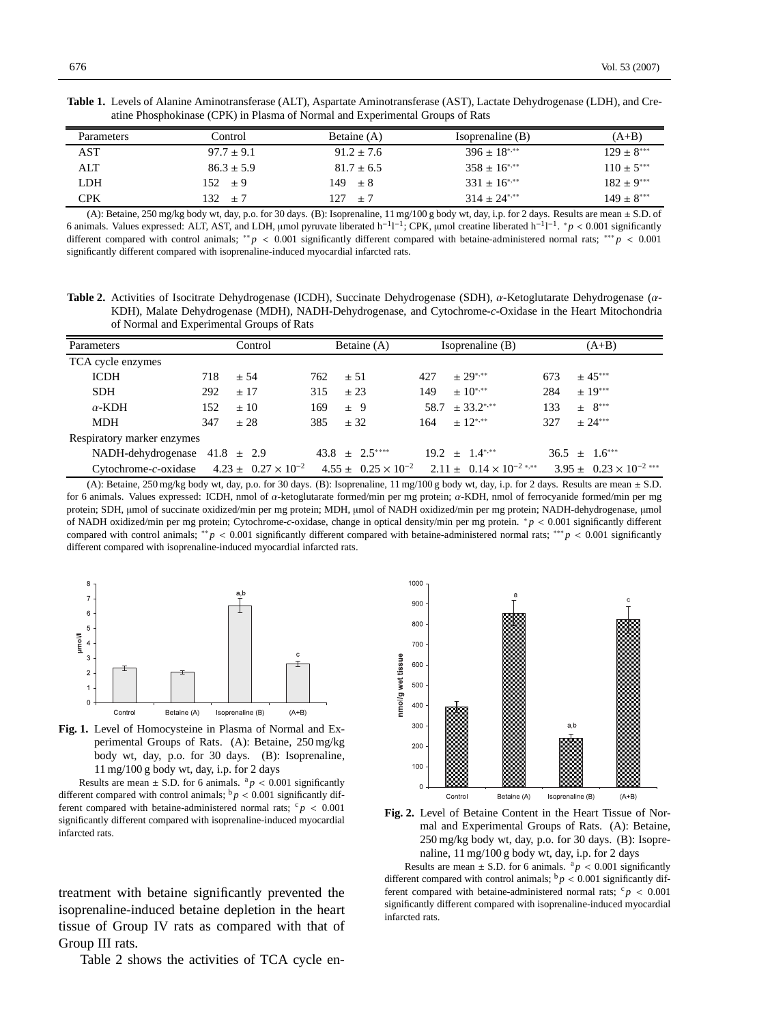| Table 1. Levels of Alanine Aminotransferase (ALT), Aspartate Aminotransferase (AST), Lactate Dehydrogenase (LDH), and Cre- |  |
|----------------------------------------------------------------------------------------------------------------------------|--|
| atine Phosphokinase (CPK) in Plasma of Normal and Experimental Groups of Rats                                              |  |

| <b>Parameters</b> | Control        | Betaine (A)    | Isoprenaline $(B)$          | $(A+B)$         |
|-------------------|----------------|----------------|-----------------------------|-----------------|
| AST               | $97.7 \pm 9.1$ | $91.2 \pm 7.6$ | $396 \pm 18^{*,**}$         | $129 \pm 8***$  |
| ALT               | $86.3 \pm 5.9$ | $81.7 \pm 6.5$ | $358 \pm 16$ <sup>***</sup> | $110 \pm 5***$  |
| LDH               | $152 \pm 9$    | $149 \pm 8$    | $331 \pm 16^{*,**}$         | $182 \pm 9$ *** |
| CPK               | 132<br>$+7$    | 127.<br>$+7$   | $314 \pm 24$ <sup>***</sup> | $149 \pm 8***$  |

(A): Betaine, 250 mg/kg body wt, day, p.o. for 30 days. (B): Isoprenaline, 11 mg/100 g body wt, day, i.p. for 2 days. Results are mean ± S.D. of 6 animals. Values expressed: ALT, AST, and LDH, µmol pyruvate liberated  $h^{-1}l^{-1}$ ; CPK, µmol creatine liberated  $h^{-1}l^{-1}$ . \*  $p < 0.001$  significantly different compared with control animals; ∗∗ *p* < 0.001 significantly different compared with betaine-administered normal rats; ∗∗∗ *p* < 0.001 significantly different compared with isoprenaline-induced myocardial infarcted rats.

**Table 2.** Activities of Isocitrate Dehydrogenase (ICDH), Succinate Dehydrogenase (SDH), α-Ketoglutarate Dehydrogenase (α-KDH), Malate Dehydrogenase (MDH), NADH-Dehydrogenase, and Cytochrome-*c*-Oxidase in the Heart Mitochondria of Normal and Experimental Groups of Rats

| Parameters                                          |     | Control  |     | Betaine (A)       |     | Isoprenaline (B)                                                             |     | $(A+B)$                            |
|-----------------------------------------------------|-----|----------|-----|-------------------|-----|------------------------------------------------------------------------------|-----|------------------------------------|
| TCA cycle enzymes                                   |     |          |     |                   |     |                                                                              |     |                                    |
| <b>ICDH</b>                                         | 718 | ± 54     | 762 | $\pm$ 51          | 427 | $\pm 29$ ***                                                                 | 673 | $\pm 45***$                        |
| <b>SDH</b>                                          | 292 | $\pm$ 17 | 315 | ± 23              | 149 | $+10^{*,**}$                                                                 | 284 | $± 19***$                          |
| $\alpha$ -KDH                                       | 152 | $\pm 10$ | 169 | $\pm$ 9           |     | $58.7 \pm 33.2$ ***                                                          | 133 | $+ 8***$                           |
| <b>MDH</b>                                          | 347 | ± 28     | 385 | ± 32              |     | $164 \pm 12^{*,**}$                                                          | 327 | $+24***$                           |
| Respiratory marker enzymes                          |     |          |     |                   |     |                                                                              |     |                                    |
| NADH-dehydrogenase $41.8 \pm 2.9$                   |     |          |     | $43.8 \pm 2.5***$ |     | $19.2 \pm 1.4$ <sup>***</sup>                                                |     | $36.5 \pm 1.6***$                  |
| Cytochrome-c-oxidase $4.23 \pm 0.27 \times 10^{-2}$ |     |          |     |                   |     | $4.55 \pm 0.25 \times 10^{-2}$ $2.11 \pm 0.14 \times 10^{-2}$ <sup>***</sup> |     | $3.95 \pm 0.23 \times 10^{-2}$ *** |

(A): Betaine, 250 mg/kg body wt, day, p.o. for 30 days. (B): Isoprenaline, 11 mg/100 g body wt, day, i.p. for 2 days. Results are mean ± S.D. for 6 animals. Values expressed: ICDH, nmol of α-ketoglutarate formed/min per mg protein; α-KDH, nmol of ferrocyanide formed/min per mg protein; SDH, µmol of succinate oxidized/min per mg protein; MDH, µmol of NADH oxidized/min per mg protein; NADH-dehydrogenase, µmol of NADH oxidized/min per mg protein; Cytochrome-*c*-oxidase, change in optical density/min per mg protein. ∗ *p* < 0.001 significantly different compared with control animals; ∗∗ *p* < 0.001 significantly different compared with betaine-administered normal rats; ∗∗∗ *p* < 0.001 significantly different compared with isoprenaline-induced myocardial infarcted rats.



**Fig. 1.** Level of Homocysteine in Plasma of Normal and Experimental Groups of Rats. (A): Betaine, 250 mg/kg body wt, day, p.o. for 30 days. (B): Isoprenaline, 11 mg/100 g body wt, day, i.p. for 2 days

Results are mean  $\pm$  S.D. for 6 animals.  $a_p < 0.001$  significantly different compared with control animals;  $\frac{b}{p}$  < 0.001 significantly different compared with betaine-administered normal rats;  $c_p < 0.001$ significantly different compared with isoprenaline-induced myocardial infarcted rats.

treatment with betaine significantly prevented the isoprenaline-induced betaine depletion in the heart tissue of Group IV rats as compared with that of Group III rats.

Table 2 shows the activities of TCA cycle en-





Results are mean  $\pm$  S.D. for 6 animals. <sup>a</sup> $p < 0.001$  significantly different compared with control animals;  $\frac{b}{p}$  < 0.001 significantly different compared with betaine-administered normal rats;  $c_p < 0.001$ significantly different compared with isoprenaline-induced myocardial infarcted rats.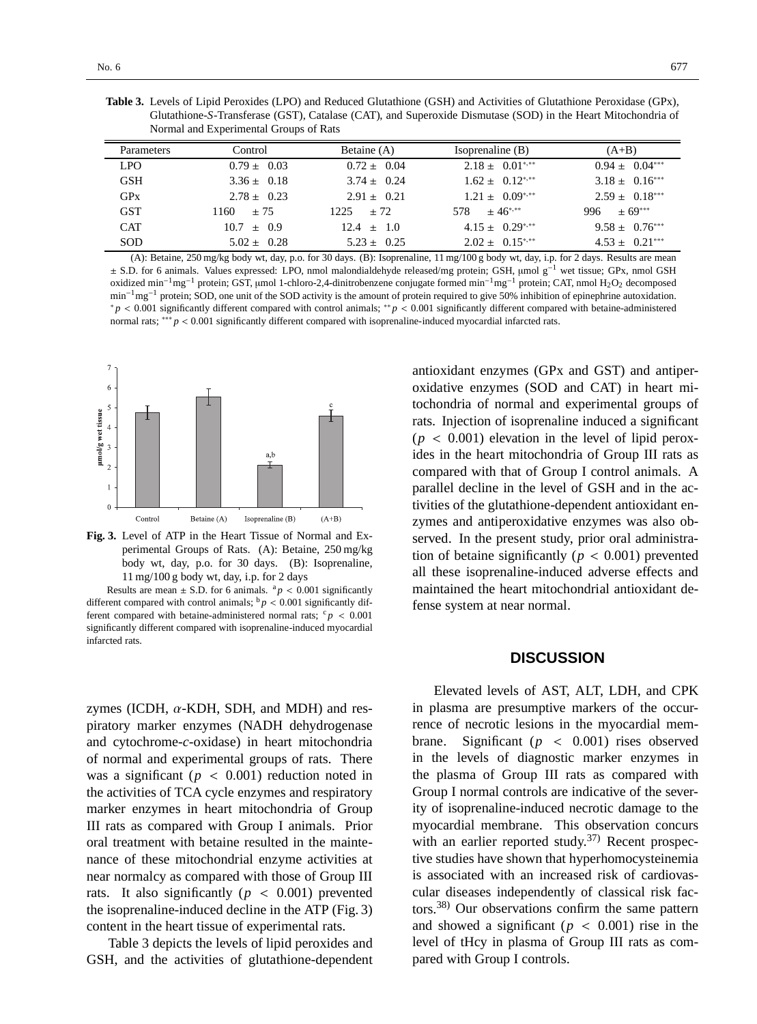| <b>Table 3.</b> Levels of Lipid Peroxides (LPO) and Reduced Glutathione (GSH) and Activities of Glutathione Peroxidase (GPx), |
|-------------------------------------------------------------------------------------------------------------------------------|
| Glutathione-S-Transferase (GST), Catalase (CAT), and Superoxide Dismutase (SOD) in the Heart Mitochondria of                  |
| Normal and Experimental Groups of Rats                                                                                        |

| <b>Parameters</b> | Control         | Betaine (A)     | Isoprenaline (B)               | $(A+B)$            |
|-------------------|-----------------|-----------------|--------------------------------|--------------------|
| LPO <sub>1</sub>  | $0.79 \pm 0.03$ | $0.72 \pm 0.04$ | $2.18 \pm 0.01^{*,**}$         | $0.94 \pm 0.04***$ |
| <b>GSH</b>        | $3.36 \pm 0.18$ | $3.74 \pm 0.24$ | $1.62 \pm 0.12$ <sup>***</sup> | $3.18 \pm 0.16***$ |
| GPX               | $2.78 \pm 0.23$ | $2.91 \pm 0.21$ | $1.21 \pm 0.09^{*,**}$         | $2.59 \pm 0.18***$ |
| <b>GST</b>        | 1160-<br>$+75$  | $1225 + 72$     | 578 $\pm 46^{*,**}$            | $996 \pm 69***$    |
| <b>CAT</b>        | $10.7 \pm 0.9$  | $12.4 \pm 1.0$  | $4.15 \pm 0.29$ <sup>***</sup> | $9.58 \pm 0.76***$ |
| <b>SOD</b>        | $5.02 \pm 0.28$ | $5.23 \pm 0.25$ | $2.02 \pm 0.15^{***}$          | $4.53 \pm 0.21***$ |

(A): Betaine, 250 mg/kg body wt, day, p.o. for 30 days. (B): Isoprenaline, 11 mg/100 g body wt, day, i.p. for 2 days. Results are mean <sup>±</sup> S.D. for 6 animals. Values expressed: LPO, nmol malondialdehyde released/mg protein; GSH, <sup>µ</sup>mol g−<sup>1</sup> wet tissue; GPx, nmol GSH oxidized min−1mg−<sup>1</sup> protein; GST, µmol 1-chloro-2,4-dinitrobenzene conjugate formed min−1mg−<sup>1</sup> protein; CAT, nmol H2O2 decomposed min<sup>-1</sup>mg<sup>-1</sup> protein; SOD, one unit of the SOD activity is the amount of protein required to give 50% inhibition of epinephrine autoxidation. ∗ *p* < 0.001 significantly different compared with control animals; ∗∗ *p* < 0.001 significantly different compared with betaine-administered normal rats; <sup>\*\*\*</sup> *p* < 0.001 significantly different compared with isoprenaline-induced myocardial infarcted rats.



**Fig. 3.** Level of ATP in the Heart Tissue of Normal and Experimental Groups of Rats. (A): Betaine, 250 mg/kg body wt, day, p.o. for 30 days. (B): Isoprenaline, 11 mg/100 g body wt, day, i.p. for 2 days

Results are mean  $\pm$  S.D. for 6 animals. <sup>a</sup> $p < 0.001$  significantly different compared with control animals;  $\frac{b}{p}$  < 0.001 significantly different compared with betaine-administered normal rats;  $c_p < 0.001$ significantly different compared with isoprenaline-induced myocardial infarcted rats.

zymes (ICDH,  $\alpha$ -KDH, SDH, and MDH) and respiratory marker enzymes (NADH dehydrogenase and cytochrome-*c*-oxidase) in heart mitochondria of normal and experimental groups of rats. There was a significant ( $p < 0.001$ ) reduction noted in the activities of TCA cycle enzymes and respiratory marker enzymes in heart mitochondria of Group III rats as compared with Group I animals. Prior oral treatment with betaine resulted in the maintenance of these mitochondrial enzyme activities at near normalcy as compared with those of Group III rats. It also significantly ( $p < 0.001$ ) prevented the isoprenaline-induced decline in the ATP (Fig. 3) content in the heart tissue of experimental rats.

Table 3 depicts the levels of lipid peroxides and GSH, and the activities of glutathione-dependent

antioxidant enzymes (GPx and GST) and antiperoxidative enzymes (SOD and CAT) in heart mitochondria of normal and experimental groups of rats. Injection of isoprenaline induced a significant  $(p < 0.001)$  elevation in the level of lipid peroxides in the heart mitochondria of Group III rats as compared with that of Group I control animals. A parallel decline in the level of GSH and in the activities of the glutathione-dependent antioxidant enzymes and antiperoxidative enzymes was also observed. In the present study, prior oral administration of betaine significantly ( $p < 0.001$ ) prevented all these isoprenaline-induced adverse effects and maintained the heart mitochondrial antioxidant defense system at near normal.

#### **DISCUSSION**

Elevated levels of AST, ALT, LDH, and CPK in plasma are presumptive markers of the occurrence of necrotic lesions in the myocardial membrane. Significant  $(p \lt 0.001)$  rises observed in the levels of diagnostic marker enzymes in the plasma of Group III rats as compared with Group I normal controls are indicative of the severity of isoprenaline-induced necrotic damage to the myocardial membrane. This observation concurs with an earlier reported study.<sup>37)</sup> Recent prospective studies have shown that hyperhomocysteinemia is associated with an increased risk of cardiovascular diseases independently of classical risk factors.38) Our observations confirm the same pattern and showed a significant ( $p < 0.001$ ) rise in the level of tHcy in plasma of Group III rats as compared with Group I controls.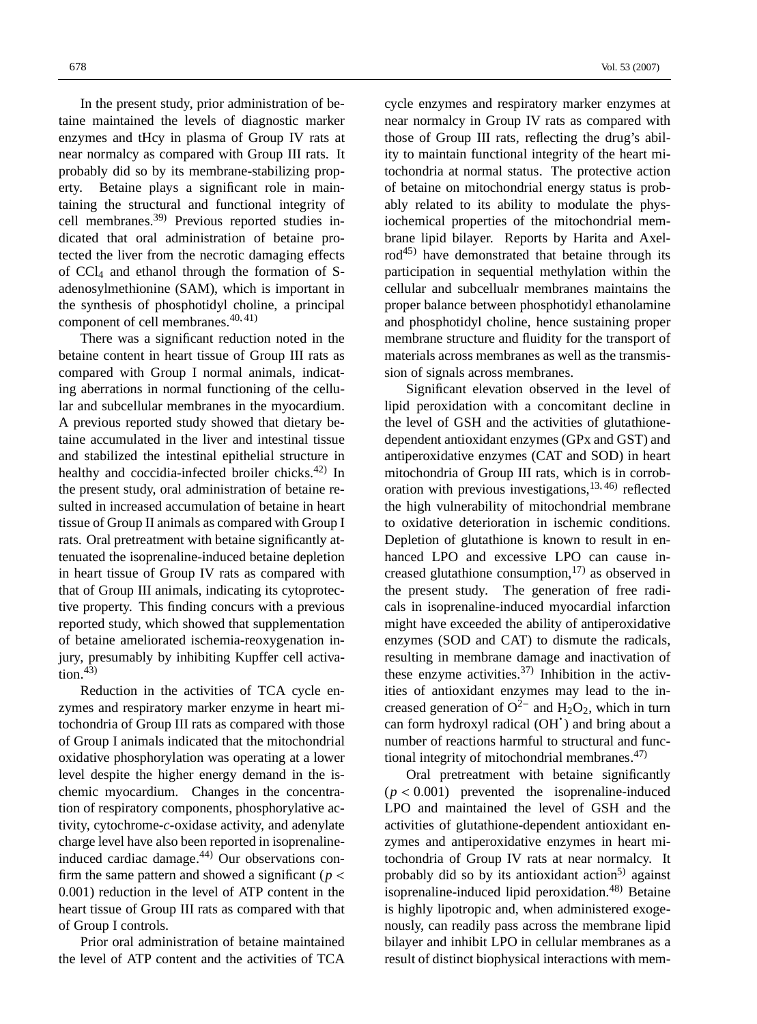In the present study, prior administration of betaine maintained the levels of diagnostic marker enzymes and tHcy in plasma of Group IV rats at near normalcy as compared with Group III rats. It probably did so by its membrane-stabilizing property. Betaine plays a significant role in maintaining the structural and functional integrity of cell membranes.39) Previous reported studies indicated that oral administration of betaine protected the liver from the necrotic damaging effects of  $CCl<sub>4</sub>$  and ethanol through the formation of Sadenosylmethionine (SAM), which is important in the synthesis of phosphotidyl choline, a principal component of cell membranes. $40, 41$ )

There was a significant reduction noted in the betaine content in heart tissue of Group III rats as compared with Group I normal animals, indicating aberrations in normal functioning of the cellular and subcellular membranes in the myocardium. A previous reported study showed that dietary betaine accumulated in the liver and intestinal tissue and stabilized the intestinal epithelial structure in healthy and coccidia-infected broiler chicks.<sup>42)</sup> In the present study, oral administration of betaine resulted in increased accumulation of betaine in heart tissue of Group II animals as compared with Group I rats. Oral pretreatment with betaine significantly attenuated the isoprenaline-induced betaine depletion in heart tissue of Group IV rats as compared with that of Group III animals, indicating its cytoprotective property. This finding concurs with a previous reported study, which showed that supplementation of betaine ameliorated ischemia-reoxygenation injury, presumably by inhibiting Kupffer cell activa- $\text{tion}^{43}$ 

Reduction in the activities of TCA cycle enzymes and respiratory marker enzyme in heart mitochondria of Group III rats as compared with those of Group I animals indicated that the mitochondrial oxidative phosphorylation was operating at a lower level despite the higher energy demand in the ischemic myocardium. Changes in the concentration of respiratory components, phosphorylative activity, cytochrome-*c*-oxidase activity, and adenylate charge level have also been reported in isoprenalineinduced cardiac damage. $44$  Our observations confirm the same pattern and showed a significant ( $p <$ 0.001) reduction in the level of ATP content in the heart tissue of Group III rats as compared with that of Group I controls.

Prior oral administration of betaine maintained the level of ATP content and the activities of TCA cycle enzymes and respiratory marker enzymes at near normalcy in Group IV rats as compared with those of Group III rats, reflecting the drug's ability to maintain functional integrity of the heart mitochondria at normal status. The protective action of betaine on mitochondrial energy status is probably related to its ability to modulate the physiochemical properties of the mitochondrial membrane lipid bilayer. Reports by Harita and Axel $rod<sup>45</sup>$  have demonstrated that betaine through its participation in sequential methylation within the cellular and subcellualr membranes maintains the proper balance between phosphotidyl ethanolamine and phosphotidyl choline, hence sustaining proper membrane structure and fluidity for the transport of materials across membranes as well as the transmission of signals across membranes.

Significant elevation observed in the level of lipid peroxidation with a concomitant decline in the level of GSH and the activities of glutathionedependent antioxidant enzymes (GPx and GST) and antiperoxidative enzymes (CAT and SOD) in heart mitochondria of Group III rats, which is in corroboration with previous investigations,  $13, 46$ ) reflected the high vulnerability of mitochondrial membrane to oxidative deterioration in ischemic conditions. Depletion of glutathione is known to result in enhanced LPO and excessive LPO can cause increased glutathione consumption, $17$  as observed in the present study. The generation of free radicals in isoprenaline-induced myocardial infarction might have exceeded the ability of antiperoxidative enzymes (SOD and CAT) to dismute the radicals, resulting in membrane damage and inactivation of these enzyme activities.<sup>37)</sup> Inhibition in the activities of antioxidant enzymes may lead to the increased generation of  $O^{2-}$  and  $H_2O_2$ , which in turn can form hydroxyl radical (OH·) and bring about a number of reactions harmful to structural and functional integrity of mitochondrial membranes. $47$ )

Oral pretreatment with betaine significantly  $(p < 0.001)$  prevented the isoprenaline-induced LPO and maintained the level of GSH and the activities of glutathione-dependent antioxidant enzymes and antiperoxidative enzymes in heart mitochondria of Group IV rats at near normalcy. It probably did so by its antioxidant action<sup>5)</sup> against isoprenaline-induced lipid peroxidation.<sup>48)</sup> Betaine is highly lipotropic and, when administered exogenously, can readily pass across the membrane lipid bilayer and inhibit LPO in cellular membranes as a result of distinct biophysical interactions with mem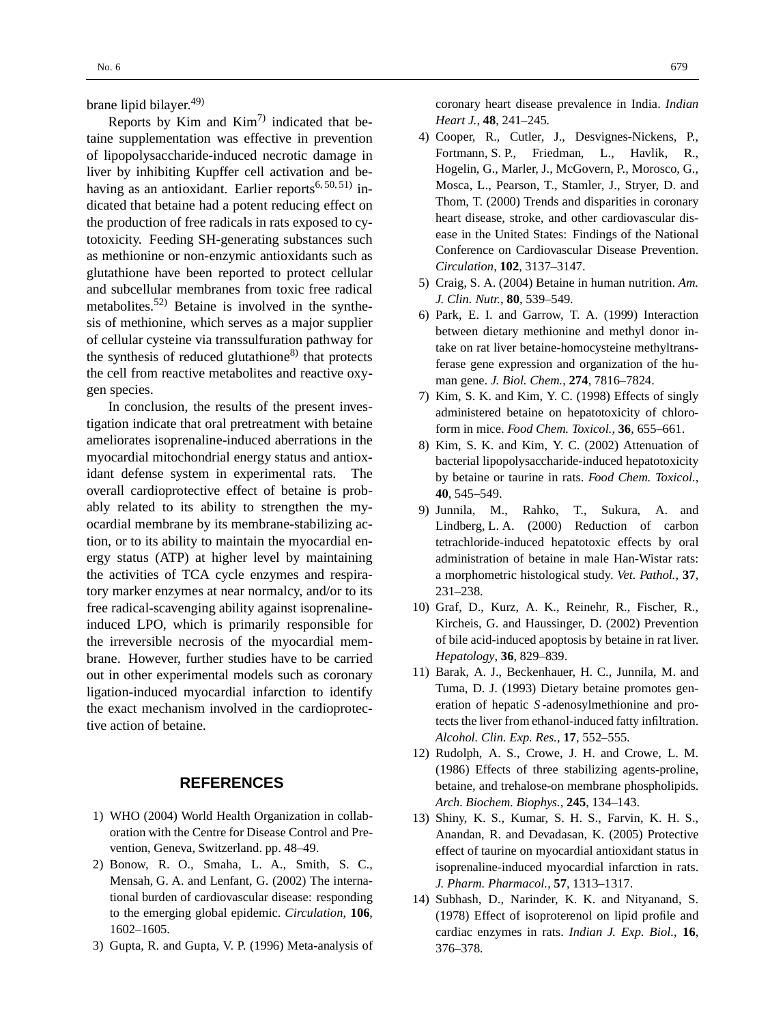brane lipid bilayer.<sup>49)</sup>

Reports by Kim and  $Kim<sup>7</sup>$  indicated that betaine supplementation was effective in prevention of lipopolysaccharide-induced necrotic damage in liver by inhibiting Kupffer cell activation and behaving as an antioxidant. Earlier reports<sup>6, 50, 51)</sup> indicated that betaine had a potent reducing effect on the production of free radicals in rats exposed to cytotoxicity. Feeding SH-generating substances such as methionine or non-enzymic antioxidants such as glutathione have been reported to protect cellular and subcellular membranes from toxic free radical metabolites.52) Betaine is involved in the synthesis of methionine, which serves as a major supplier of cellular cysteine via transsulfuration pathway for the synthesis of reduced glutathione $8$ <sup>)</sup> that protects the cell from reactive metabolites and reactive oxygen species.

In conclusion, the results of the present investigation indicate that oral pretreatment with betaine ameliorates isoprenaline-induced aberrations in the myocardial mitochondrial energy status and antioxidant defense system in experimental rats. The overall cardioprotective effect of betaine is probably related to its ability to strengthen the myocardial membrane by its membrane-stabilizing action, or to its ability to maintain the myocardial energy status (ATP) at higher level by maintaining the activities of TCA cycle enzymes and respiratory marker enzymes at near normalcy, and/or to its free radical-scavenging ability against isoprenalineinduced LPO, which is primarily responsible for the irreversible necrosis of the myocardial membrane. However, further studies have to be carried out in other experimental models such as coronary ligation-induced myocardial infarction to identify the exact mechanism involved in the cardioprotective action of betaine.

#### **REFERENCES**

- 1) WHO (2004) World Health Organization in collaboration with the Centre for Disease Control and Prevention, Geneva, Switzerland. pp. 48–49.
- 2) Bonow, R. O., Smaha, L. A., Smith, S. C., Mensah, G. A. and Lenfant, G. (2002) The international burden of cardiovascular disease: responding to the emerging global epidemic. *Circulation*, **106**, 1602–1605.
- 3) Gupta, R. and Gupta, V. P. (1996) Meta-analysis of

coronary heart disease prevalence in India. *Indian Heart J.*, **48**, 241–245.

- 4) Cooper, R., Cutler, J., Desvignes-Nickens, P., Fortmann, S. P., Friedman, L., Havlik, R., Hogelin, G., Marler, J., McGovern, P., Morosco, G., Mosca, L., Pearson, T., Stamler, J., Stryer, D. and Thom, T. (2000) Trends and disparities in coronary heart disease, stroke, and other cardiovascular disease in the United States: Findings of the National Conference on Cardiovascular Disease Prevention. *Circulation*, **102**, 3137–3147.
- 5) Craig, S. A. (2004) Betaine in human nutrition. *Am. J. Clin. Nutr.*, **80**, 539–549.
- 6) Park, E. I. and Garrow, T. A. (1999) Interaction between dietary methionine and methyl donor intake on rat liver betaine-homocysteine methyltransferase gene expression and organization of the human gene. *J. Biol. Chem.*, **274**, 7816–7824.
- 7) Kim, S. K. and Kim, Y. C. (1998) Effects of singly administered betaine on hepatotoxicity of chloroform in mice. *Food Chem. Toxicol.*, **36**, 655–661.
- 8) Kim, S. K. and Kim, Y. C. (2002) Attenuation of bacterial lipopolysaccharide-induced hepatotoxicity by betaine or taurine in rats. *Food Chem. Toxicol.*, **40**, 545–549.
- 9) Junnila, M., Rahko, T., Sukura, A. and Lindberg, L. A. (2000) Reduction of carbon tetrachloride-induced hepatotoxic effects by oral administration of betaine in male Han-Wistar rats: a morphometric histological study. *Vet. Pathol.*, **37**, 231–238.
- 10) Graf, D., Kurz, A. K., Reinehr, R., Fischer, R., Kircheis, G. and Haussinger, D. (2002) Prevention of bile acid-induced apoptosis by betaine in rat liver. *Hepatology*, **36**, 829–839.
- 11) Barak, A. J., Beckenhauer, H. C., Junnila, M. and Tuma, D. J. (1993) Dietary betaine promotes generation of hepatic *S* -adenosylmethionine and protects the liver from ethanol-induced fatty infiltration. *Alcohol. Clin. Exp. Res.*, **17**, 552–555.
- 12) Rudolph, A. S., Crowe, J. H. and Crowe, L. M. (1986) Effects of three stabilizing agents-proline, betaine, and trehalose-on membrane phospholipids. *Arch. Biochem. Biophys.*, **245**, 134–143.
- 13) Shiny, K. S., Kumar, S. H. S., Farvin, K. H. S., Anandan, R. and Devadasan, K. (2005) Protective effect of taurine on myocardial antioxidant status in isoprenaline-induced myocardial infarction in rats. *J. Pharm. Pharmacol.*, **57**, 1313–1317.
- 14) Subhash, D., Narinder, K. K. and Nityanand, S. (1978) Effect of isoproterenol on lipid profile and cardiac enzymes in rats. *Indian J. Exp. Biol.*, **16**, 376–378.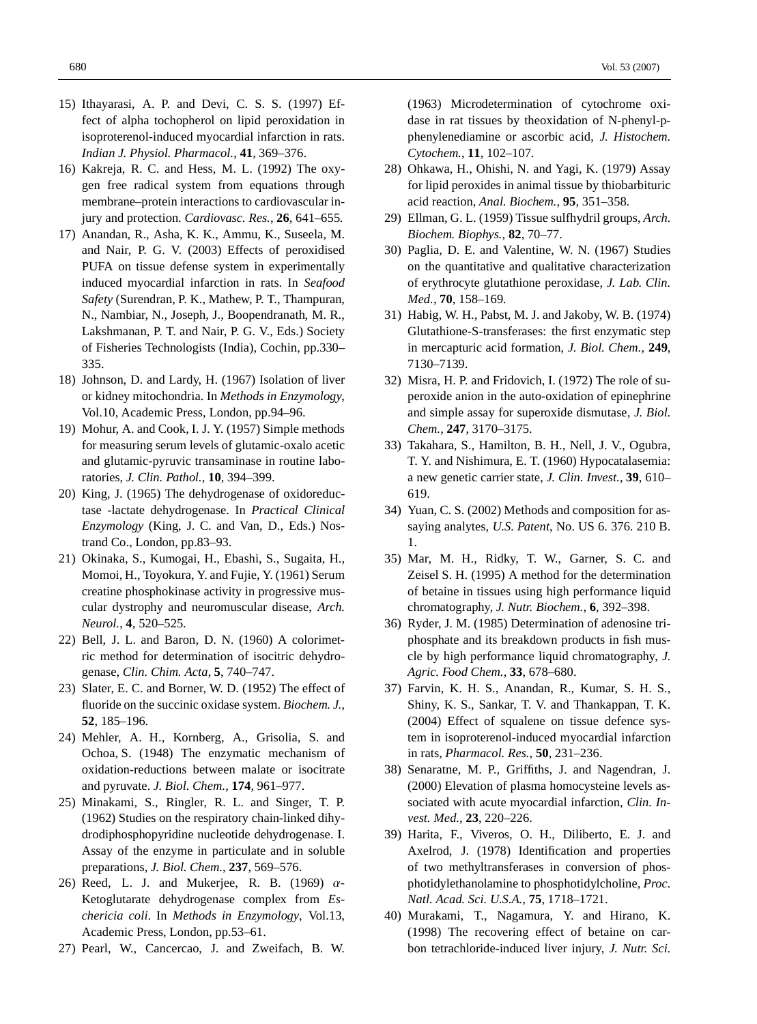- 15) Ithayarasi, A. P. and Devi, C. S. S. (1997) Effect of alpha tochopherol on lipid peroxidation in isoproterenol-induced myocardial infarction in rats. *Indian J. Physiol. Pharmacol.*, **41**, 369–376.
- 16) Kakreja, R. C. and Hess, M. L. (1992) The oxygen free radical system from equations through membrane–protein interactions to cardiovascular injury and protection. *Cardiovasc. Res.*, **26**, 641–655.
- 17) Anandan, R., Asha, K. K., Ammu, K., Suseela, M. and Nair, P. G. V. (2003) Effects of peroxidised PUFA on tissue defense system in experimentally induced myocardial infarction in rats. In *Seafood Safety* (Surendran, P. K., Mathew, P. T., Thampuran, N., Nambiar, N., Joseph, J., Boopendranath, M. R., Lakshmanan, P. T. and Nair, P. G. V., Eds.) Society of Fisheries Technologists (India), Cochin, pp.330– 335.
- 18) Johnson, D. and Lardy, H. (1967) Isolation of liver or kidney mitochondria. In *Methods in Enzymology*, Vol.10, Academic Press, London, pp.94–96.
- 19) Mohur, A. and Cook, I. J. Y. (1957) Simple methods for measuring serum levels of glutamic-oxalo acetic and glutamic-pyruvic transaminase in routine laboratories, *J. Clin. Pathol.*, **10**, 394–399.
- 20) King, J. (1965) The dehydrogenase of oxidoreductase -lactate dehydrogenase. In *Practical Clinical Enzymology* (King, J. C. and Van, D., Eds.) Nostrand Co., London, pp.83–93.
- 21) Okinaka, S., Kumogai, H., Ebashi, S., Sugaita, H., Momoi, H., Toyokura, Y. and Fujie, Y. (1961) Serum creatine phosphokinase activity in progressive muscular dystrophy and neuromuscular disease, *Arch. Neurol.*, **4**, 520–525.
- 22) Bell, J. L. and Baron, D. N. (1960) A colorimetric method for determination of isocitric dehydrogenase, *Clin. Chim. Acta*, **5**, 740–747.
- 23) Slater, E. C. and Borner, W. D. (1952) The effect of fluoride on the succinic oxidase system. *Biochem. J.*, **52**, 185–196.
- 24) Mehler, A. H., Kornberg, A., Grisolia, S. and Ochoa, S. (1948) The enzymatic mechanism of oxidation-reductions between malate or isocitrate and pyruvate. *J. Biol. Chem.*, **174**, 961–977.
- 25) Minakami, S., Ringler, R. L. and Singer, T. P. (1962) Studies on the respiratory chain-linked dihydrodiphosphopyridine nucleotide dehydrogenase. I. Assay of the enzyme in particulate and in soluble preparations, *J. Biol. Chem.*, **237**, 569–576.
- 26) Reed, L. J. and Mukerjee, R. B. (1969)  $\alpha$ -Ketoglutarate dehydrogenase complex from *Eschericia coli*. In *Methods in Enzymology*, Vol.13, Academic Press, London, pp.53–61.
- 27) Pearl, W., Cancercao, J. and Zweifach, B. W.

(1963) Microdetermination of cytochrome oxidase in rat tissues by theoxidation of N-phenyl-pphenylenediamine or ascorbic acid, *J. Histochem. Cytochem.*, **11**, 102–107.

- 28) Ohkawa, H., Ohishi, N. and Yagi, K. (1979) Assay for lipid peroxides in animal tissue by thiobarbituric acid reaction, *Anal. Biochem.*, **95**, 351–358.
- 29) Ellman, G. L. (1959) Tissue sulfhydril groups, *Arch. Biochem. Biophys.*, **82**, 70–77.
- 30) Paglia, D. E. and Valentine, W. N. (1967) Studies on the quantitative and qualitative characterization of erythrocyte glutathione peroxidase, *J. Lab. Clin. Med.*, **70**, 158–169.
- 31) Habig, W. H., Pabst, M. J. and Jakoby, W. B. (1974) Glutathione-S-transferases: the first enzymatic step in mercapturic acid formation, *J. Biol. Chem.*, **249**, 7130–7139.
- 32) Misra, H. P. and Fridovich, I. (1972) The role of superoxide anion in the auto-oxidation of epinephrine and simple assay for superoxide dismutase, *J. Biol. Chem.*, **247**, 3170–3175.
- 33) Takahara, S., Hamilton, B. H., Nell, J. V., Ogubra, T. Y. and Nishimura, E. T. (1960) Hypocatalasemia: a new genetic carrier state, *J. Clin. Invest.*, **39**, 610– 619.
- 34) Yuan, C. S. (2002) Methods and composition for assaying analytes, *U.S. Patent*, No. US 6. 376. 210 B. 1.
- 35) Mar, M. H., Ridky, T. W., Garner, S. C. and Zeisel S. H. (1995) A method for the determination of betaine in tissues using high performance liquid chromatography, *J. Nutr. Biochem.*, **6**, 392–398.
- 36) Ryder, J. M. (1985) Determination of adenosine triphosphate and its breakdown products in fish muscle by high performance liquid chromatography, *J. Agric. Food Chem.*, **33**, 678–680.
- 37) Farvin, K. H. S., Anandan, R., Kumar, S. H. S., Shiny, K. S., Sankar, T. V. and Thankappan, T. K. (2004) Effect of squalene on tissue defence system in isoproterenol-induced myocardial infarction in rats, *Pharmacol. Res.*, **50**, 231–236.
- 38) Senaratne, M. P., Griffiths, J. and Nagendran, J. (2000) Elevation of plasma homocysteine levels associated with acute myocardial infarction, *Clin. Invest. Med.*, **23**, 220–226.
- 39) Harita, F., Viveros, O. H., Diliberto, E. J. and Axelrod, J. (1978) Identification and properties of two methyltransferases in conversion of phosphotidylethanolamine to phosphotidylcholine, *Proc. Natl. Acad. Sci. U.S.A.*, **75**, 1718–1721.
- 40) Murakami, T., Nagamura, Y. and Hirano, K. (1998) The recovering effect of betaine on carbon tetrachloride-induced liver injury, *J. Nutr. Sci.*